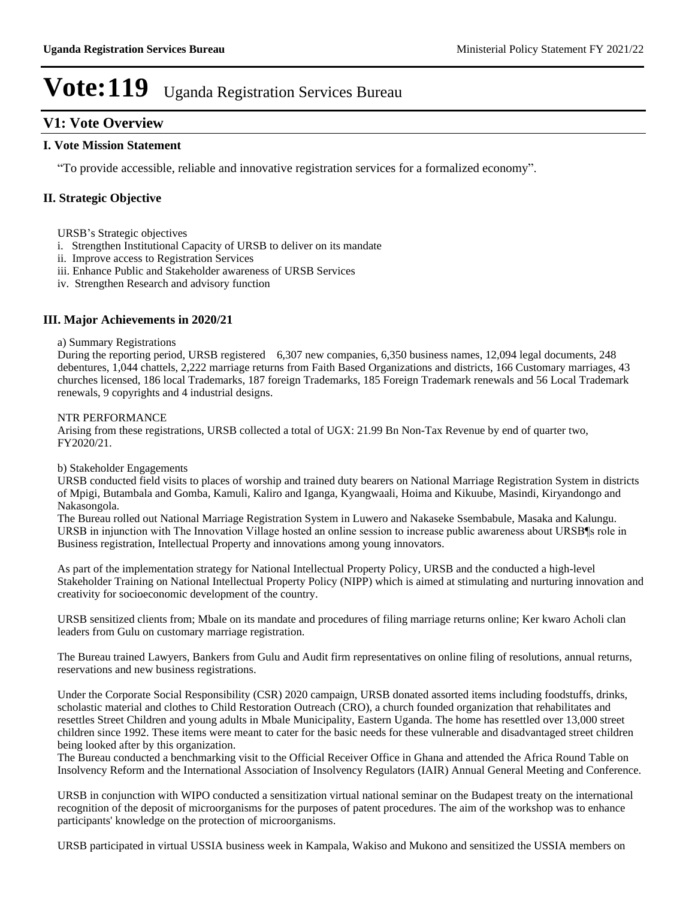# **V1: Vote Overview**

### **I. Vote Mission Statement**

³To provide accessible, reliable and innovative registration services for a formalized economy´

## **II. Strategic Objective**

URSB's Strategic objectives

- i. Strengthen Institutional Capacity of URSB to deliver on its mandate
- ii. Improve access to Registration Services
- iii. Enhance Public and Stakeholder awareness of URSB Services
- iv. Strengthen Research and advisory function

## **III. Major Achievements in 2020/21**

#### a) Summary Registrations

During the reporting period, URSB registered 6,307 new companies, 6,350 business names, 12,094 legal documents, 248 debentures, 1,044 chattels, 2,222 marriage returns from Faith Based Organizations and districts, 166 Customary marriages, 43 churches licensed, 186 local Trademarks, 187 foreign Trademarks, 185 Foreign Trademark renewals and 56 Local Trademark renewals, 9 copyrights and 4 industrial designs.

#### NTR PERFORMANCE

Arising from these registrations, URSB collected a total of UGX: 21.99 Bn Non-Tax Revenue by end of quarter two, FY2020/21.

### b) Stakeholder Engagements

URSB conducted field visits to places of worship and trained duty bearers on National Marriage Registration System in districts of Mpigi, Butambala and Gomba, Kamuli, Kaliro and Iganga, Kyangwaali, Hoima and Kikuube, Masindi, Kiryandongo and Nakasongola.

The Bureau rolled out National Marriage Registration System in Luwero and Nakaseke Ssembabule, Masaka and Kalungu. URSB in injunction with The Innovation Village hosted an online session to increase public awareness about URSB is role in Business registration, Intellectual Property and innovations among young innovators.

As part of the implementation strategy for National Intellectual Property Policy, URSB and the conducted a high-level Stakeholder Training on National Intellectual Property Policy (NIPP) which is aimed at stimulating and nurturing innovation and creativity for socioeconomic development of the country.

URSB sensitized clients from; Mbale on its mandate and procedures of filing marriage returns online; Ker kwaro Acholi clan leaders from Gulu on customary marriage registration.

The Bureau trained Lawyers, Bankers from Gulu and Audit firm representatives on online filing of resolutions, annual returns, reservations and new business registrations.

Under the Corporate Social Responsibility (CSR) 2020 campaign, URSB donated assorted items including foodstuffs, drinks, scholastic material and clothes to Child Restoration Outreach (CRO), a church founded organization that rehabilitates and resettles Street Children and young adults in Mbale Municipality, Eastern Uganda. The home has resettled over 13,000 street children since 1992. These items were meant to cater for the basic needs for these vulnerable and disadvantaged street children being looked after by this organization.

The Bureau conducted a benchmarking visit to the Official Receiver Office in Ghana and attended the Africa Round Table on Insolvency Reform and the International Association of Insolvency Regulators (IAIR) Annual General Meeting and Conference.

URSB in conjunction with WIPO conducted a sensitization virtual national seminar on the Budapest treaty on the international recognition of the deposit of microorganisms for the purposes of patent procedures. The aim of the workshop was to enhance participants' knowledge on the protection of microorganisms.

URSB participated in virtual USSIA business week in Kampala, Wakiso and Mukono and sensitized the USSIA members on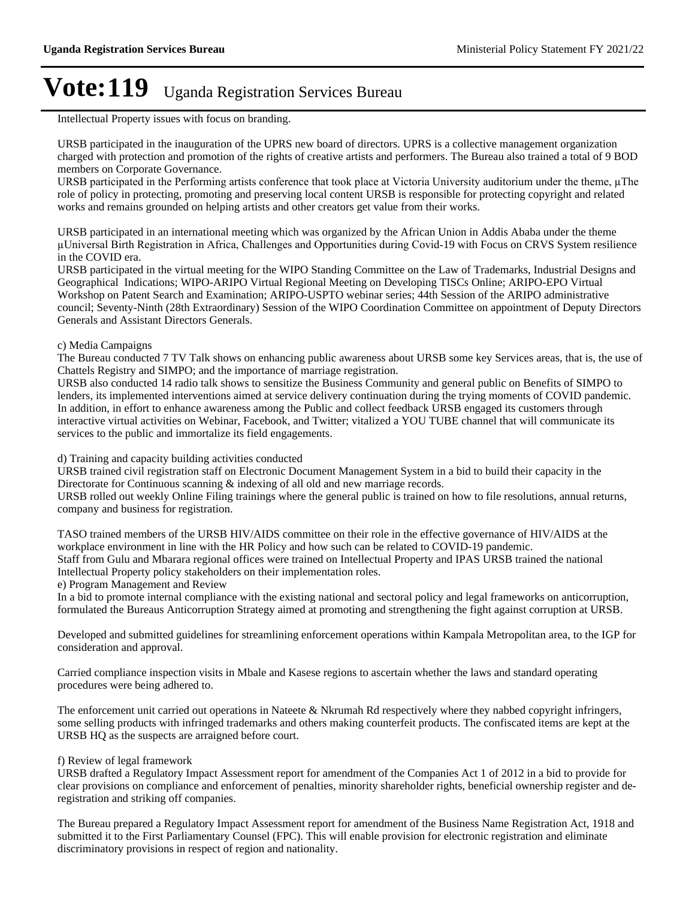Intellectual Property issues with focus on branding.

URSB participated in the inauguration of the UPRS new board of directors. UPRS is a collective management organization charged with protection and promotion of the rights of creative artists and performers. The Bureau also trained a total of 9 BOD members on Corporate Governance.

URSB participated in the Performing artists conference that took place at Victoria University auditorium under the theme, µThe role of policy in protecting, promoting and preserving local content URSB is responsible for protecting copyright and related works and remains grounded on helping artists and other creators get value from their works.

URSB participated in an international meeting which was organized by the African Union in Addis Ababa under the theme µUniversal Birth Registration in Africa, Challenges and Opportunities during Covid-19 with Focus on CRVS System resilience in the COVID era.

URSB participated in the virtual meeting for the WIPO Standing Committee on the Law of Trademarks, Industrial Designs and Geographical Indications; WIPO-ARIPO Virtual Regional Meeting on Developing TISCs Online; ARIPO-EPO Virtual Workshop on Patent Search and Examination; ARIPO-USPTO webinar series; 44th Session of the ARIPO administrative council; Seventy-Ninth (28th Extraordinary) Session of the WIPO Coordination Committee on appointment of Deputy Directors Generals and Assistant Directors Generals.

c) Media Campaigns

The Bureau conducted 7 TV Talk shows on enhancing public awareness about URSB some key Services areas, that is, the use of Chattels Registry and SIMPO; and the importance of marriage registration.

URSB also conducted 14 radio talk shows to sensitize the Business Community and general public on Benefits of SIMPO to lenders, its implemented interventions aimed at service delivery continuation during the trying moments of COVID pandemic. In addition, in effort to enhance awareness among the Public and collect feedback URSB engaged its customers through interactive virtual activities on Webinar, Facebook, and Twitter; vitalized a YOU TUBE channel that will communicate its services to the public and immortalize its field engagements.

d) Training and capacity building activities conducted

URSB trained civil registration staff on Electronic Document Management System in a bid to build their capacity in the Directorate for Continuous scanning  $\&$  indexing of all old and new marriage records.

URSB rolled out weekly Online Filing trainings where the general public is trained on how to file resolutions, annual returns, company and business for registration.

TASO trained members of the URSB HIV/AIDS committee on their role in the effective governance of HIV/AIDS at the workplace environment in line with the HR Policy and how such can be related to COVID-19 pandemic. Staff from Gulu and Mbarara regional offices were trained on Intellectual Property and IPAS URSB trained the national Intellectual Property policy stakeholders on their implementation roles.

e) Program Management and Review

In a bid to promote internal compliance with the existing national and sectoral policy and legal frameworks on anticorruption, formulated the Bureaus Anticorruption Strategy aimed at promoting and strengthening the fight against corruption at URSB.

Developed and submitted guidelines for streamlining enforcement operations within Kampala Metropolitan area, to the IGP for consideration and approval.

Carried compliance inspection visits in Mbale and Kasese regions to ascertain whether the laws and standard operating procedures were being adhered to.

The enforcement unit carried out operations in Nateete & Nkrumah Rd respectively where they nabbed copyright infringers, some selling products with infringed trademarks and others making counterfeit products. The confiscated items are kept at the URSB HQ as the suspects are arraigned before court.

#### f) Review of legal framework

URSB drafted a Regulatory Impact Assessment report for amendment of the Companies Act 1 of 2012 in a bid to provide for clear provisions on compliance and enforcement of penalties, minority shareholder rights, beneficial ownership register and deregistration and striking off companies.

The Bureau prepared a Regulatory Impact Assessment report for amendment of the Business Name Registration Act, 1918 and submitted it to the First Parliamentary Counsel (FPC). This will enable provision for electronic registration and eliminate discriminatory provisions in respect of region and nationality.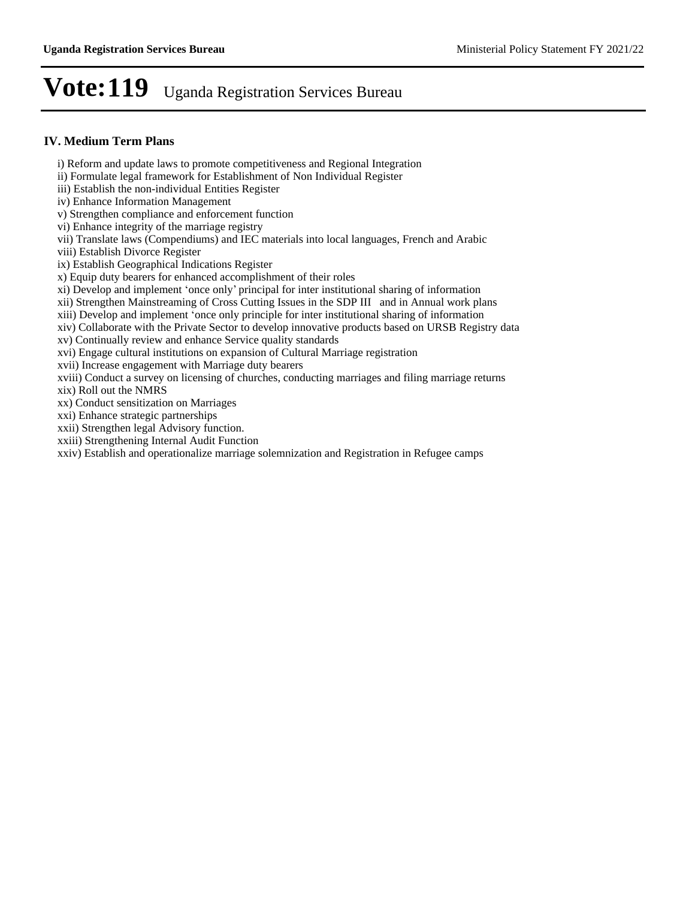## **IV. Medium Term Plans**

- i) Reform and update laws to promote competitiveness and Regional Integration
- ii) Formulate legal framework for Establishment of Non Individual Register
- iii) Establish the non-individual Entities Register
- iv) Enhance Information Management
- v) Strengthen compliance and enforcement function
- vi) Enhance integrity of the marriage registry
- vii) Translate laws (Compendiums) and IEC materials into local languages, French and Arabic
- viii) Establish Divorce Register
- ix) Establish Geographical Indications Register
- x) Equip duty bearers for enhanced accomplishment of their roles
- xi) Develop and implement 'once only' principal for inter institutional sharing of information
- xii) Strengthen Mainstreaming of Cross Cutting Issues in the SDP III and in Annual work plans
- xiii) Develop and implement 'once only principle for inter institutional sharing of information
- xiv) Collaborate with the Private Sector to develop innovative products based on URSB Registry data
- xv) Continually review and enhance Service quality standards
- xvi) Engage cultural institutions on expansion of Cultural Marriage registration
- xvii) Increase engagement with Marriage duty bearers
- xviii) Conduct a survey on licensing of churches, conducting marriages and filing marriage returns
- xix) Roll out the NMRS
- xx) Conduct sensitization on Marriages
- xxi) Enhance strategic partnerships
- xxii) Strengthen legal Advisory function.
- xxiii) Strengthening Internal Audit Function
- xxiv) Establish and operationalize marriage solemnization and Registration in Refugee camps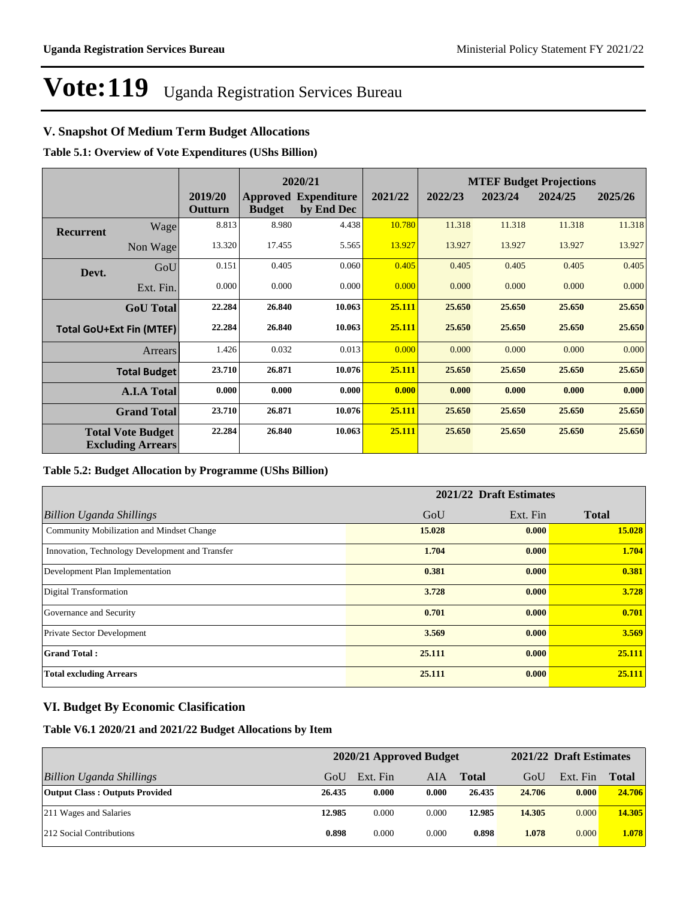# **V. Snapshot Of Medium Term Budget Allocations**

**Table 5.1: Overview of Vote Expenditures (UShs Billion)**

|                  |                                                      |                    | 2020/21       |                                           |         |         |         | <b>MTEF Budget Projections</b> |         |
|------------------|------------------------------------------------------|--------------------|---------------|-------------------------------------------|---------|---------|---------|--------------------------------|---------|
|                  |                                                      | 2019/20<br>Outturn | <b>Budget</b> | <b>Approved Expenditure</b><br>by End Dec | 2021/22 | 2022/23 | 2023/24 | 2024/25                        | 2025/26 |
| <b>Recurrent</b> | Wage                                                 | 8.813              | 8.980         | 4.438                                     | 10.780  | 11.318  | 11.318  | 11.318                         | 11.318  |
|                  | Non Wage                                             | 13.320             | 17.455        | 5.565                                     | 13.927  | 13.927  | 13.927  | 13.927                         | 13.927  |
| Devt.            | GoU                                                  | 0.151              | 0.405         | 0.060                                     | 0.405   | 0.405   | 0.405   | 0.405                          | 0.405   |
|                  | Ext. Fin.                                            | 0.000              | 0.000         | 0.000                                     | 0.000   | 0.000   | 0.000   | 0.000                          | 0.000   |
|                  | <b>GoU</b> Total                                     | 22.284             | 26.840        | 10.063                                    | 25.111  | 25.650  | 25.650  | 25.650                         | 25.650  |
|                  | <b>Total GoU+Ext Fin (MTEF)</b>                      | 22.284             | 26.840        | 10.063                                    | 25.111  | 25.650  | 25.650  | 25.650                         | 25.650  |
|                  | Arrears                                              | 1.426              | 0.032         | 0.013                                     | 0.000   | 0.000   | 0.000   | 0.000                          | 0.000   |
|                  | <b>Total Budget</b>                                  | 23.710             | 26.871        | 10.076                                    | 25.111  | 25.650  | 25.650  | 25.650                         | 25.650  |
|                  | <b>A.I.A Total</b>                                   | 0.000              | 0.000         | 0.000                                     | 0.000   | 0.000   | 0.000   | 0.000                          | 0.000   |
|                  | <b>Grand Total</b>                                   | 23.710             | 26.871        | 10.076                                    | 25.111  | 25.650  | 25.650  | 25.650                         | 25.650  |
|                  | <b>Total Vote Budget</b><br><b>Excluding Arrears</b> | 22.284             | 26.840        | 10.063                                    | 25.111  | 25.650  | 25.650  | 25.650                         | 25.650  |

### **Table 5.2: Budget Allocation by Programme (UShs Billion)**

|                                                 | 2021/22 Draft Estimates |          |              |  |  |  |
|-------------------------------------------------|-------------------------|----------|--------------|--|--|--|
| <b>Billion Uganda Shillings</b>                 | GoU                     | Ext. Fin | <b>Total</b> |  |  |  |
| Community Mobilization and Mindset Change       | 15.028                  | 0.000    | 15.028       |  |  |  |
| Innovation, Technology Development and Transfer | 1.704                   | 0.000    | 1.704        |  |  |  |
| Development Plan Implementation                 | 0.381                   | 0.000    | 0.381        |  |  |  |
| Digital Transformation                          | 3.728                   | 0.000    | 3.728        |  |  |  |
| Governance and Security                         | 0.701                   | 0.000    | 0.701        |  |  |  |
| <b>Private Sector Development</b>               | 3.569                   | 0.000    | 3.569        |  |  |  |
| <b>Grand Total:</b>                             | 25.111                  | 0.000    | 25.111       |  |  |  |
| <b>Total excluding Arrears</b>                  | 25,111                  | 0.000    | 25.111       |  |  |  |

# **VI. Budget By Economic Clasification**

**Table V6.1 2020/21 and 2021/22 Budget Allocations by Item**

|                                       | 2020/21 Approved Budget |          |       |              |        | 2021/22 Draft Estimates |        |  |
|---------------------------------------|-------------------------|----------|-------|--------------|--------|-------------------------|--------|--|
| Billion Uganda Shillings              | GoU                     | Ext. Fin | AIA   | <b>Total</b> | GoU    | Ext. Fin                | Total  |  |
| <b>Output Class: Outputs Provided</b> | 26.435                  | 0.000    | 0.000 | 26.435       | 24.706 | 0.000                   | 24.706 |  |
| 211 Wages and Salaries                | 12.985                  | 0.000    | 0.000 | 12.985       | 14.305 | 0.000                   | 14.305 |  |
| 212 Social Contributions              | 0.898                   | 0.000    | 0.000 | 0.898        | 1.078  | 0.000                   | 1.078  |  |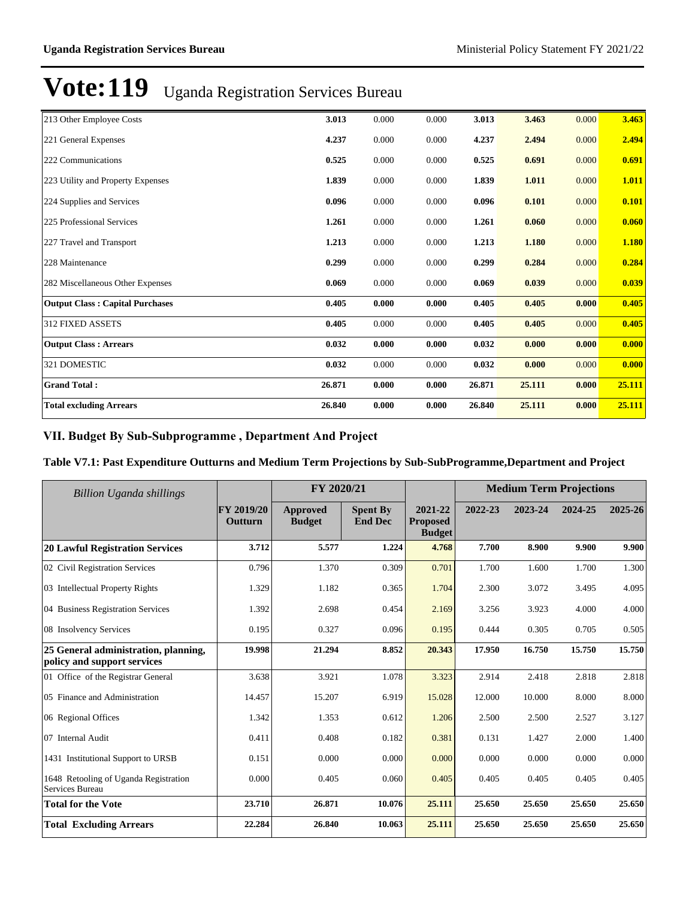| 213 Other Employee Costs               | 3.013  | 0.000 | 0.000 | 3.013  | 3.463  | 0.000 | 3.463  |
|----------------------------------------|--------|-------|-------|--------|--------|-------|--------|
| 221 General Expenses                   | 4.237  | 0.000 | 0.000 | 4.237  | 2.494  | 0.000 | 2.494  |
| 222 Communications                     | 0.525  | 0.000 | 0.000 | 0.525  | 0.691  | 0.000 | 0.691  |
| 223 Utility and Property Expenses      | 1.839  | 0.000 | 0.000 | 1.839  | 1.011  | 0.000 | 1.011  |
| 224 Supplies and Services              | 0.096  | 0.000 | 0.000 | 0.096  | 0.101  | 0.000 | 0.101  |
| 225 Professional Services              | 1.261  | 0.000 | 0.000 | 1.261  | 0.060  | 0.000 | 0.060  |
| 227 Travel and Transport               | 1.213  | 0.000 | 0.000 | 1.213  | 1.180  | 0.000 | 1.180  |
| 228 Maintenance                        | 0.299  | 0.000 | 0.000 | 0.299  | 0.284  | 0.000 | 0.284  |
| 282 Miscellaneous Other Expenses       | 0.069  | 0.000 | 0.000 | 0.069  | 0.039  | 0.000 | 0.039  |
| <b>Output Class: Capital Purchases</b> | 0.405  | 0.000 | 0.000 | 0.405  | 0.405  | 0.000 | 0.405  |
| 312 FIXED ASSETS                       | 0.405  | 0.000 | 0.000 | 0.405  | 0.405  | 0.000 | 0.405  |
| <b>Output Class: Arrears</b>           | 0.032  | 0.000 | 0.000 | 0.032  | 0.000  | 0.000 | 0.000  |
| 321 DOMESTIC                           | 0.032  | 0.000 | 0.000 | 0.032  | 0.000  | 0.000 | 0.000  |
| <b>Grand Total:</b>                    | 26.871 | 0.000 | 0.000 | 26.871 | 25.111 | 0.000 | 25.111 |
| <b>Total excluding Arrears</b>         | 26.840 | 0.000 | 0.000 | 26.840 | 25.111 | 0.000 | 25.111 |

## VII. Budget By Sub-Subprogramme, Department And Project

### **Table V7.1: Past Expenditure Outturns and Medium Term Projections by Sub-SubProgramme,Department and Project**

| <b>Billion Uganda shillings</b>                                     |                       | FY 2020/21                       |                                   |                                             | <b>Medium Term Projections</b> |         |         |         |
|---------------------------------------------------------------------|-----------------------|----------------------------------|-----------------------------------|---------------------------------------------|--------------------------------|---------|---------|---------|
|                                                                     | FY 2019/20<br>Outturn | <b>Approved</b><br><b>Budget</b> | <b>Spent By</b><br><b>End Dec</b> | 2021-22<br><b>Proposed</b><br><b>Budget</b> | 2022-23                        | 2023-24 | 2024-25 | 2025-26 |
| <b>20 Lawful Registration Services</b>                              | 3.712                 | 5.577                            | 1.224                             | 4.768                                       | 7.700                          | 8.900   | 9.900   | 9.900   |
| 02 Civil Registration Services                                      | 0.796                 | 1.370                            | 0.309                             | 0.701                                       | 1.700                          | 1.600   | 1.700   | 1.300   |
| 03 Intellectual Property Rights                                     | 1.329                 | 1.182                            | 0.365                             | 1.704                                       | 2.300                          | 3.072   | 3.495   | 4.095   |
| 04 Business Registration Services                                   | 1.392                 | 2.698                            | 0.454                             | 2.169                                       | 3.256                          | 3.923   | 4.000   | 4.000   |
| 08 Insolvency Services                                              | 0.195                 | 0.327                            | 0.096                             | 0.195                                       | 0.444                          | 0.305   | 0.705   | 0.505   |
| 25 General administration, planning,<br>policy and support services | 19.998                | 21.294                           | 8.852                             | 20.343                                      | 17.950                         | 16.750  | 15.750  | 15.750  |
| 01 Office of the Registrar General                                  | 3.638                 | 3.921                            | 1.078                             | 3.323                                       | 2.914                          | 2.418   | 2.818   | 2.818   |
| 05 Finance and Administration                                       | 14.457                | 15.207                           | 6.919                             | 15.028                                      | 12.000                         | 10.000  | 8.000   | 8.000   |
| 06 Regional Offices                                                 | 1.342                 | 1.353                            | 0.612                             | 1.206                                       | 2.500                          | 2.500   | 2.527   | 3.127   |
| 07 Internal Audit                                                   | 0.411                 | 0.408                            | 0.182                             | 0.381                                       | 0.131                          | 1.427   | 2.000   | 1.400   |
| 1431 Institutional Support to URSB                                  | 0.151                 | 0.000                            | 0.000                             | 0.000                                       | 0.000                          | 0.000   | 0.000   | 0.000   |
| 1648 Retooling of Uganda Registration<br>Services Bureau            | 0.000                 | 0.405                            | 0.060                             | 0.405                                       | 0.405                          | 0.405   | 0.405   | 0.405   |
| <b>Total for the Vote</b>                                           | 23.710                | 26.871                           | 10.076                            | 25.111                                      | 25.650                         | 25.650  | 25.650  | 25.650  |
| <b>Total Excluding Arrears</b>                                      | 22.284                | 26.840                           | 10.063                            | 25.111                                      | 25.650                         | 25.650  | 25.650  | 25.650  |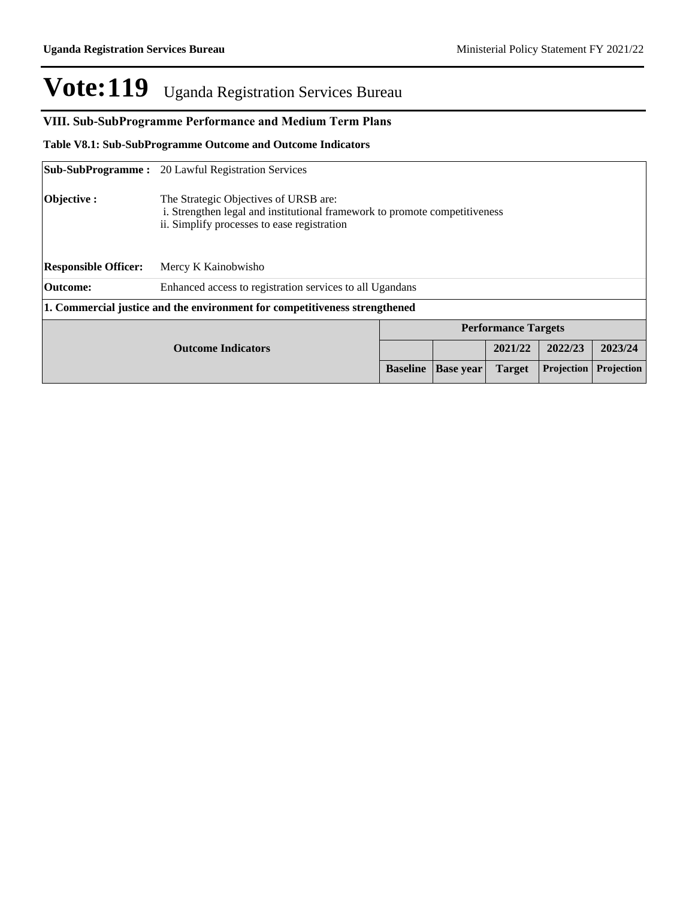# VIII. Sub-SubProgramme Performance and Medium Term Plans

**Table V8.1: Sub-SubProgramme Outcome and Outcome Indicators** 

|                             | <b>Sub-SubProgramme:</b> 20 Lawful Registration Services                                                                                                           |  |         |                            |         |  |  |  |
|-----------------------------|--------------------------------------------------------------------------------------------------------------------------------------------------------------------|--|---------|----------------------------|---------|--|--|--|
| Objective :                 | The Strategic Objectives of URSB are:<br>i. Strengthen legal and institutional framework to promote competitiveness<br>ii. Simplify processes to ease registration |  |         |                            |         |  |  |  |
| <b>Responsible Officer:</b> | Mercy K Kainobwisho                                                                                                                                                |  |         |                            |         |  |  |  |
| <b>Outcome:</b>             | Enhanced access to registration services to all Ugandans                                                                                                           |  |         |                            |         |  |  |  |
|                             | 1. Commercial justice and the environment for competitiveness strengthened                                                                                         |  |         |                            |         |  |  |  |
|                             |                                                                                                                                                                    |  |         | <b>Performance Targets</b> |         |  |  |  |
|                             |                                                                                                                                                                    |  | 2021/22 | 2022/23                    | 2023/24 |  |  |  |
|                             | <b>Projection</b><br>Projection<br><b>Baseline</b><br><b>Base year</b><br><b>Target</b>                                                                            |  |         |                            |         |  |  |  |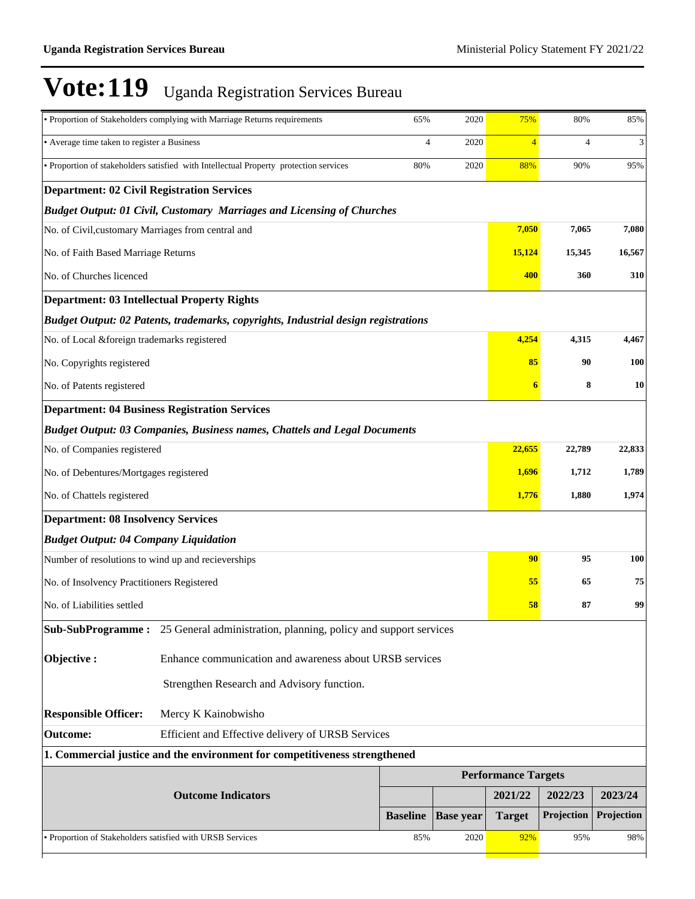|                                                                                 | · Proportion of Stakeholders complying with Marriage Returns requirements                  | 65%             | 2020             | 75%                        | 80%            | 85%        |
|---------------------------------------------------------------------------------|--------------------------------------------------------------------------------------------|-----------------|------------------|----------------------------|----------------|------------|
| • Average time taken to register a Business                                     |                                                                                            | 4               | 2020             | $\overline{4}$             | $\overline{4}$ | 3          |
|                                                                                 | • Proportion of stakeholders satisfied with Intellectual Property protection services      | 80%             | 2020             | 88%                        | 90%            | 95%        |
| <b>Department: 02 Civil Registration Services</b>                               |                                                                                            |                 |                  |                            |                |            |
|                                                                                 | <b>Budget Output: 01 Civil, Customary Marriages and Licensing of Churches</b>              |                 |                  |                            |                |            |
| No. of Civil, customary Marriages from central and                              |                                                                                            |                 |                  | 7,050                      | 7,065          | 7,080      |
| No. of Faith Based Marriage Returns                                             |                                                                                            |                 |                  | 15,124                     | 15,345         | 16,567     |
| No. of Churches licenced                                                        |                                                                                            |                 |                  | 400                        | 360            | 310        |
| <b>Department: 03 Intellectual Property Rights</b>                              |                                                                                            |                 |                  |                            |                |            |
|                                                                                 | Budget Output: 02 Patents, trademarks, copyrights, Industrial design registrations         |                 |                  |                            |                |            |
| No. of Local &foreign trademarks registered                                     |                                                                                            |                 |                  | 4,254                      | 4,315          | 4,467      |
| No. Copyrights registered                                                       |                                                                                            |                 |                  | 85                         | 90             | 100        |
| No. of Patents registered                                                       |                                                                                            |                 |                  | 6                          | 8              | 10         |
|                                                                                 | <b>Department: 04 Business Registration Services</b>                                       |                 |                  |                            |                |            |
|                                                                                 | <b>Budget Output: 03 Companies, Business names, Chattels and Legal Documents</b>           |                 |                  |                            |                |            |
| No. of Companies registered                                                     |                                                                                            |                 |                  | 22,655                     | 22,789         | 22,833     |
| No. of Debentures/Mortgages registered                                          |                                                                                            |                 |                  | 1,696                      | 1,712          | 1,789      |
| No. of Chattels registered                                                      |                                                                                            |                 |                  | 1,776                      | 1,880          | 1,974      |
| <b>Department: 08 Insolvency Services</b>                                       |                                                                                            |                 |                  |                            |                |            |
| <b>Budget Output: 04 Company Liquidation</b>                                    |                                                                                            |                 |                  |                            |                |            |
| Number of resolutions to wind up and recieverships                              |                                                                                            |                 |                  | 90                         | 95             | 100        |
| No. of Insolvency Practitioners Registered                                      |                                                                                            |                 |                  | 55                         | 65             | 75         |
| No. of Liabilities settled                                                      |                                                                                            |                 |                  | 58                         | 87             | 99         |
|                                                                                 | <b>Sub-SubProgramme :</b> 25 General administration, planning, policy and support services |                 |                  |                            |                |            |
| Objective:                                                                      | Enhance communication and awareness about URSB services                                    |                 |                  |                            |                |            |
|                                                                                 | Strengthen Research and Advisory function.                                                 |                 |                  |                            |                |            |
| <b>Responsible Officer:</b>                                                     | Mercy K Kainobwisho                                                                        |                 |                  |                            |                |            |
| <b>Outcome:</b>                                                                 | Efficient and Effective delivery of URSB Services                                          |                 |                  |                            |                |            |
|                                                                                 | 1. Commercial justice and the environment for competitiveness strengthened                 |                 |                  |                            |                |            |
|                                                                                 |                                                                                            |                 |                  | <b>Performance Targets</b> |                |            |
|                                                                                 |                                                                                            |                 | 2021/22          | 2022/23                    | 2023/24        |            |
|                                                                                 |                                                                                            | <b>Baseline</b> | <b>Base year</b> | <b>Target</b>              | Projection     | Projection |
| · Proportion of Stakeholders satisfied with URSB Services<br>85%<br>92%<br>2020 |                                                                                            |                 |                  |                            |                | 98%        |
|                                                                                 |                                                                                            |                 |                  |                            |                |            |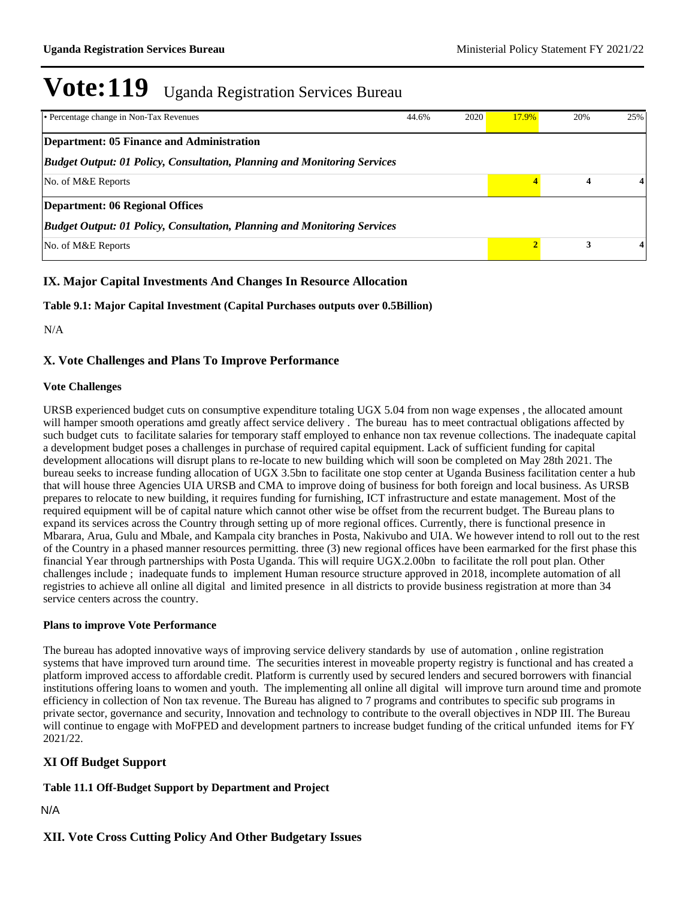| • Percentage change in Non-Tax Revenues                                         | 44.6% | 2020 | 17.9% | 20% | 25% |
|---------------------------------------------------------------------------------|-------|------|-------|-----|-----|
| Department: 05 Finance and Administration                                       |       |      |       |     |     |
| <b>Budget Output: 01 Policy, Consultation, Planning and Monitoring Services</b> |       |      |       |     |     |
| No. of M&E Reports                                                              |       |      |       | 4   |     |
| <b>Department: 06 Regional Offices</b>                                          |       |      |       |     |     |
| <b>Budget Output: 01 Policy, Consultation, Planning and Monitoring Services</b> |       |      |       |     |     |
| No. of M&E Reports                                                              |       |      |       | 3   |     |

# **IX. Major Capital Investments And Changes In Resource Allocation**

**Table 9.1: Major Capital Investment (Capital Purchases outputs over 0.5Billion)**

N/A

## **X. Vote Challenges and Plans To Improve Performance**

### **Vote Challenges**

URSB experienced budget cuts on consumptive expenditure totaling UGX 5.04 from non wage expenses , the allocated amount will hamper smooth operations amd greatly affect service delivery . The bureau has to meet contractual obligations affected by such budget cuts to facilitate salaries for temporary staff employed to enhance non tax revenue collections. The inadequate capital a development budget poses a challenges in purchase of required capital equipment. Lack of sufficient funding for capital development allocations will disrupt plans to re-locate to new building which will soon be completed on May 28th 2021. The bureau seeks to increase funding allocation of UGX 3.5bn to facilitate one stop center at Uganda Business facilitation center a hub that will house three Agencies UIA URSB and CMA to improve doing of business for both foreign and local business. As URSB prepares to relocate to new building, it requires funding for furnishing, ICT infrastructure and estate management. Most of the required equipment will be of capital nature which cannot other wise be offset from the recurrent budget. The Bureau plans to expand its services across the Country through setting up of more regional offices. Currently, there is functional presence in Mbarara, Arua, Gulu and Mbale, and Kampala city branches in Posta, Nakivubo and UIA. We however intend to roll out to the rest of the Country in a phased manner resources permitting. three (3) new regional offices have been earmarked for the first phase this financial Year through partnerships with Posta Uganda. This will require UGX.2.00bn to facilitate the roll pout plan. Other challenges include ; inadequate funds to implement Human resource structure approved in 2018, incomplete automation of all registries to achieve all online all digital and limited presence in all districts to provide business registration at more than 34 service centers across the country.

### **Plans to improve Vote Performance**

The bureau has adopted innovative ways of improving service delivery standards by use of automation , online registration systems that have improved turn around time. The securities interest in moveable property registry is functional and has created a platform improved access to affordable credit. Platform is currently used by secured lenders and secured borrowers with financial institutions offering loans to women and youth. The implementing all online all digital will improve turn around time and promote efficiency in collection of Non tax revenue. The Bureau has aligned to 7 programs and contributes to specific sub programs in private sector, governance and security, Innovation and technology to contribute to the overall objectives in NDP III. The Bureau will continue to engage with MoFPED and development partners to increase budget funding of the critical unfunded items for FY 2021/22.

## **XI Off Budget Support**

## **Table 11.1 Off-Budget Support by Department and Project**

### N/A

## **XII. Vote Cross Cutting Policy And Other Budgetary Issues**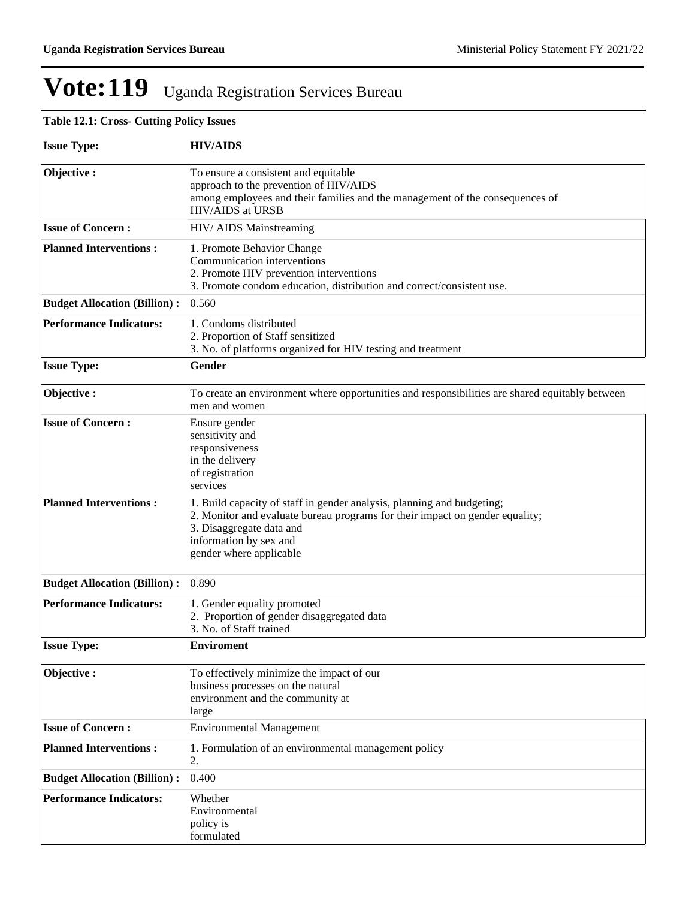# **Table 12.1: Cross- Cutting Policy Issues**

| <b>Issue Type:</b>                  | <b>HIV/AIDS</b>                                                                                                                                                                                                                         |
|-------------------------------------|-----------------------------------------------------------------------------------------------------------------------------------------------------------------------------------------------------------------------------------------|
| Objective:                          | To ensure a consistent and equitable<br>approach to the prevention of HIV/AIDS<br>among employees and their families and the management of the consequences of<br><b>HIV/AIDS</b> at URSB                                               |
| <b>Issue of Concern:</b>            | HIV/ AIDS Mainstreaming                                                                                                                                                                                                                 |
| <b>Planned Interventions:</b>       | 1. Promote Behavior Change<br>Communication interventions<br>2. Promote HIV prevention interventions<br>3. Promote condom education, distribution and correct/consistent use.                                                           |
| <b>Budget Allocation (Billion):</b> | 0.560                                                                                                                                                                                                                                   |
| <b>Performance Indicators:</b>      | 1. Condoms distributed<br>2. Proportion of Staff sensitized<br>3. No. of platforms organized for HIV testing and treatment                                                                                                              |
| <b>Issue Type:</b>                  | Gender                                                                                                                                                                                                                                  |
| Objective:                          | To create an environment where opportunities and responsibilities are shared equitably between<br>men and women                                                                                                                         |
| <b>Issue of Concern:</b>            | Ensure gender<br>sensitivity and<br>responsiveness<br>in the delivery<br>of registration<br>services                                                                                                                                    |
| <b>Planned Interventions:</b>       | 1. Build capacity of staff in gender analysis, planning and budgeting;<br>2. Monitor and evaluate bureau programs for their impact on gender equality;<br>3. Disaggregate data and<br>information by sex and<br>gender where applicable |
| <b>Budget Allocation (Billion):</b> | 0.890                                                                                                                                                                                                                                   |
| <b>Performance Indicators:</b>      | 1. Gender equality promoted<br>2. Proportion of gender disaggregated data<br>3. No. of Staff trained                                                                                                                                    |
| <b>Issue Type:</b>                  | <b>Enviroment</b>                                                                                                                                                                                                                       |
| Objective:                          | To effectively minimize the impact of our<br>business processes on the natural<br>environment and the community at<br>large                                                                                                             |
| <b>Issue of Concern:</b>            | <b>Environmental Management</b>                                                                                                                                                                                                         |
| <b>Planned Interventions:</b>       | 1. Formulation of an environmental management policy<br>2.                                                                                                                                                                              |
| <b>Budget Allocation (Billion):</b> | 0.400                                                                                                                                                                                                                                   |
| <b>Performance Indicators:</b>      | Whether<br>Environmental<br>policy is<br>formulated                                                                                                                                                                                     |